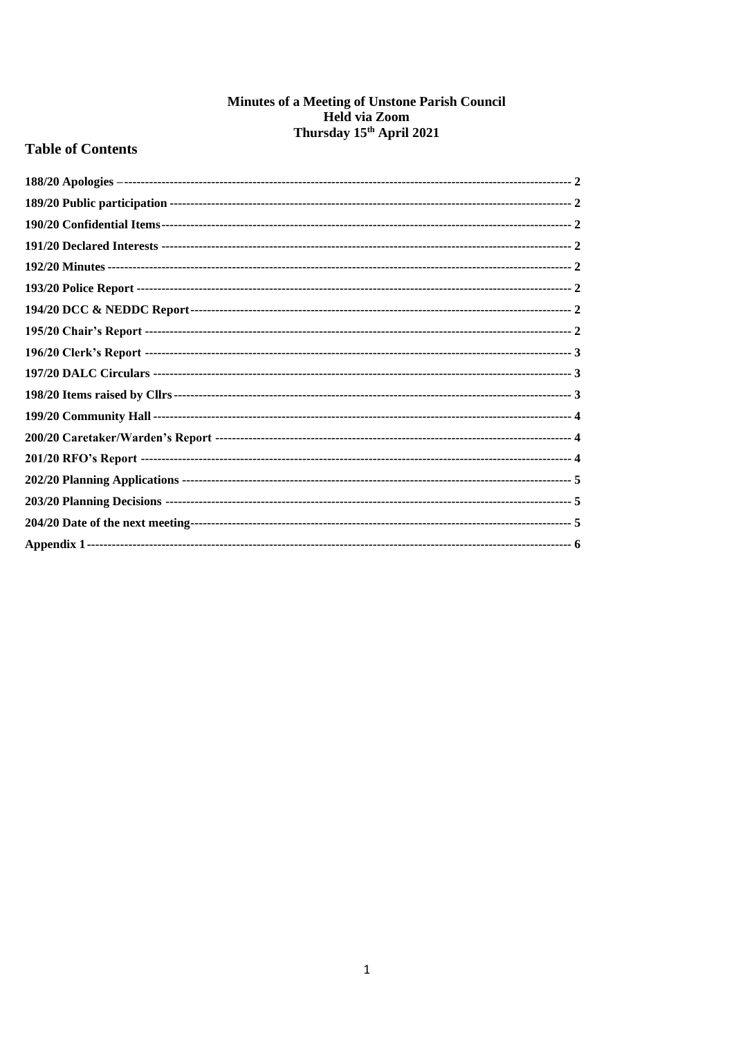# **Minutes of a Meeting of Unstone Parish Council<br>Held via Zoom<br>Thursday 15<sup>th</sup> April 2021**

# **Table of Contents**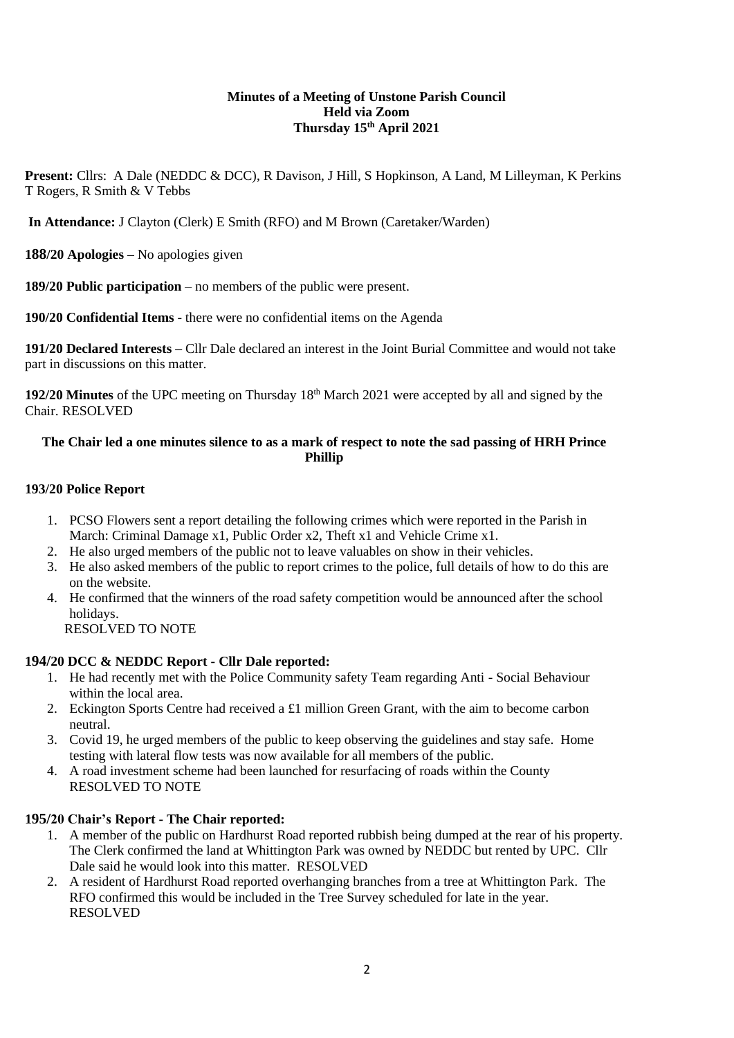#### **Minutes of a Meeting of Unstone Parish Council Held via Zoom Thursday 15th April 2021**

**Present:** Cllrs: A Dale (NEDDC & DCC), R Davison, J Hill, S Hopkinson, A Land, M Lilleyman, K Perkins T Rogers, R Smith & V Tebbs

**In Attendance:** J Clayton (Clerk) E Smith (RFO) and M Brown (Caretaker/Warden)

<span id="page-1-0"></span>**188/20 Apologies –** No apologies given

<span id="page-1-1"></span>**189/20 Public participation** – no members of the public were present.

<span id="page-1-2"></span>**190/20 Confidential Items** - there were no confidential items on the Agenda

<span id="page-1-3"></span>**191/20 Declared Interests –** Cllr Dale declared an interest in the Joint Burial Committee and would not take part in discussions on this matter.

<span id="page-1-4"></span>**192/20 Minutes** of the UPC meeting on Thursday 18th March 2021 were accepted by all and signed by the Chair. RESOLVED

# **The Chair led a one minutes silence to as a mark of respect to note the sad passing of HRH Prince Phillip**

# <span id="page-1-5"></span>**193/20 Police Report**

- 1. PCSO Flowers sent a report detailing the following crimes which were reported in the Parish in March: Criminal Damage x1, Public Order x2, Theft x1 and Vehicle Crime x1.
- 2. He also urged members of the public not to leave valuables on show in their vehicles.
- 3. He also asked members of the public to report crimes to the police, full details of how to do this are on the website.
- 4. He confirmed that the winners of the road safety competition would be announced after the school holidays.

RESOLVED TO NOTE

# <span id="page-1-6"></span>**194/20 DCC & NEDDC Report - Cllr Dale reported:**

- 1. He had recently met with the Police Community safety Team regarding Anti Social Behaviour within the local area.
- 2. Eckington Sports Centre had received a £1 million Green Grant, with the aim to become carbon neutral.
- 3. Covid 19, he urged members of the public to keep observing the guidelines and stay safe. Home testing with lateral flow tests was now available for all members of the public.
- 4. A road investment scheme had been launched for resurfacing of roads within the County RESOLVED TO NOTE

# <span id="page-1-7"></span>**195/20 Chair's Report - The Chair reported:**

- 1. A member of the public on Hardhurst Road reported rubbish being dumped at the rear of his property. The Clerk confirmed the land at Whittington Park was owned by NEDDC but rented by UPC. Cllr Dale said he would look into this matter. RESOLVED
- 2. A resident of Hardhurst Road reported overhanging branches from a tree at Whittington Park. The RFO confirmed this would be included in the Tree Survey scheduled for late in the year. RESOLVED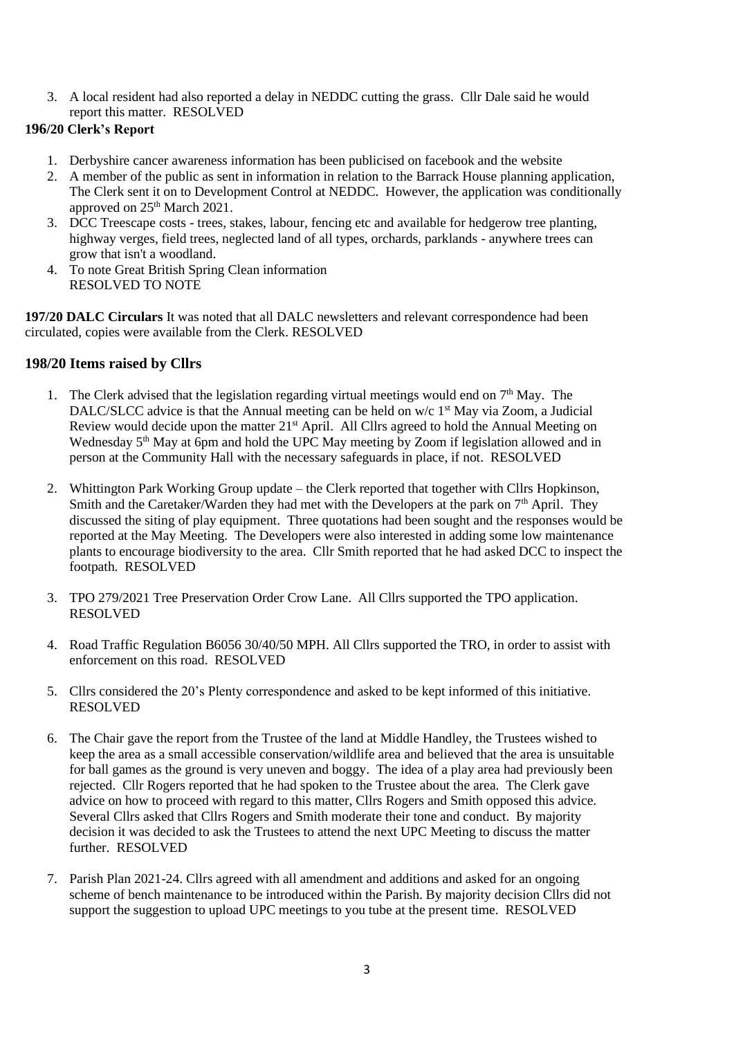3. A local resident had also reported a delay in NEDDC cutting the grass. Cllr Dale said he would report this matter. RESOLVED

# <span id="page-2-0"></span>**196/20 Clerk's Report**

- 1. Derbyshire cancer awareness information has been publicised on facebook and the website
- 2. A member of the public as sent in information in relation to the Barrack House planning application, The Clerk sent it on to Development Control at NEDDC. However, the application was conditionally approved on 25<sup>th</sup> March 2021.
- 3. DCC Treescape costs trees, stakes, labour, fencing etc and available for hedgerow tree planting, highway verges, field trees, neglected land of all types, orchards, parklands - anywhere trees can grow that isn't a woodland.
- 4. To note Great British Spring Clean information RESOLVED TO NOTE

<span id="page-2-1"></span>**197/20 DALC Circulars** It was noted that all DALC newsletters and relevant correspondence had been circulated, copies were available from the Clerk. RESOLVED

# <span id="page-2-2"></span>**198/20 Items raised by Cllrs**

- 1. The Clerk advised that the legislation regarding virtual meetings would end on  $7<sup>th</sup>$  May. The DALC/SLCC advice is that the Annual meeting can be held on  $w/c$  1<sup>st</sup> May via Zoom, a Judicial Review would decide upon the matter 21<sup>st</sup> April. All Cllrs agreed to hold the Annual Meeting on Wednesday 5<sup>th</sup> May at 6pm and hold the UPC May meeting by Zoom if legislation allowed and in person at the Community Hall with the necessary safeguards in place, if not. RESOLVED
- 2. Whittington Park Working Group update the Clerk reported that together with Cllrs Hopkinson, Smith and the Caretaker/Warden they had met with the Developers at the park on  $7<sup>th</sup>$  April. They discussed the siting of play equipment. Three quotations had been sought and the responses would be reported at the May Meeting. The Developers were also interested in adding some low maintenance plants to encourage biodiversity to the area. Cllr Smith reported that he had asked DCC to inspect the footpath. RESOLVED
- 3. TPO 279/2021 Tree Preservation Order Crow Lane. All Cllrs supported the TPO application. RESOLVED
- 4. Road Traffic Regulation B6056 30/40/50 MPH. All Cllrs supported the TRO, in order to assist with enforcement on this road. RESOLVED
- 5. Cllrs considered the 20's Plenty correspondence and asked to be kept informed of this initiative. RESOLVED
- 6. The Chair gave the report from the Trustee of the land at Middle Handley, the Trustees wished to keep the area as a small accessible conservation/wildlife area and believed that the area is unsuitable for ball games as the ground is very uneven and boggy. The idea of a play area had previously been rejected. Cllr Rogers reported that he had spoken to the Trustee about the area. The Clerk gave advice on how to proceed with regard to this matter, Cllrs Rogers and Smith opposed this advice. Several Cllrs asked that Cllrs Rogers and Smith moderate their tone and conduct. By majority decision it was decided to ask the Trustees to attend the next UPC Meeting to discuss the matter further. RESOLVED
- 7. Parish Plan 2021-24. Cllrs agreed with all amendment and additions and asked for an ongoing scheme of bench maintenance to be introduced within the Parish. By majority decision Cllrs did not support the suggestion to upload UPC meetings to you tube at the present time. RESOLVED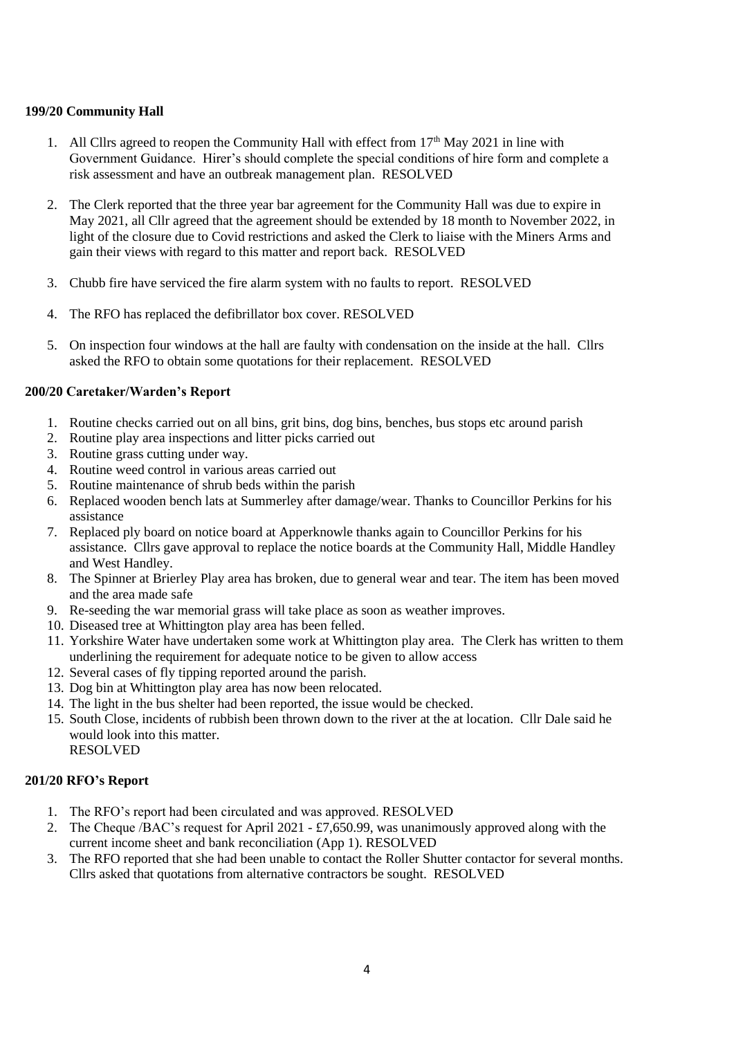# <span id="page-3-0"></span>**199/20 Community Hall**

- 1. All Cllrs agreed to reopen the Community Hall with effect from  $17<sup>th</sup>$  May 2021 in line with Government Guidance. Hirer's should complete the special conditions of hire form and complete a risk assessment and have an outbreak management plan. RESOLVED
- 2. The Clerk reported that the three year bar agreement for the Community Hall was due to expire in May 2021, all Cllr agreed that the agreement should be extended by 18 month to November 2022, in light of the closure due to Covid restrictions and asked the Clerk to liaise with the Miners Arms and gain their views with regard to this matter and report back. RESOLVED
- 3. Chubb fire have serviced the fire alarm system with no faults to report. RESOLVED
- 4. The RFO has replaced the defibrillator box cover. RESOLVED
- 5. On inspection four windows at the hall are faulty with condensation on the inside at the hall. Cllrs asked the RFO to obtain some quotations for their replacement. RESOLVED

#### <span id="page-3-1"></span>**200/20 Caretaker/Warden's Report**

- 1. Routine checks carried out on all bins, grit bins, dog bins, benches, bus stops etc around parish
- 2. Routine play area inspections and litter picks carried out
- 3. Routine grass cutting under way.
- 4. Routine weed control in various areas carried out
- 5. Routine maintenance of shrub beds within the parish
- 6. Replaced wooden bench lats at Summerley after damage/wear. Thanks to Councillor Perkins for his assistance
- 7. Replaced ply board on notice board at Apperknowle thanks again to Councillor Perkins for his assistance. Cllrs gave approval to replace the notice boards at the Community Hall, Middle Handley and West Handley.
- 8. The Spinner at Brierley Play area has broken, due to general wear and tear. The item has been moved and the area made safe
- 9. Re-seeding the war memorial grass will take place as soon as weather improves.
- 10. Diseased tree at Whittington play area has been felled.
- 11. Yorkshire Water have undertaken some work at Whittington play area. The Clerk has written to them underlining the requirement for adequate notice to be given to allow access
- 12. Several cases of fly tipping reported around the parish.
- 13. Dog bin at Whittington play area has now been relocated.
- 14. The light in the bus shelter had been reported, the issue would be checked.
- 15. South Close, incidents of rubbish been thrown down to the river at the at location. Cllr Dale said he would look into this matter.
	- RESOLVED

# <span id="page-3-2"></span>**201/20 RFO's Report**

- 1. The RFO's report had been circulated and was approved. RESOLVED
- 2. The Cheque /BAC's request for April 2021 £7,650.99, was unanimously approved along with the current income sheet and bank reconciliation (App 1). RESOLVED
- 3. The RFO reported that she had been unable to contact the Roller Shutter contactor for several months. Cllrs asked that quotations from alternative contractors be sought. RESOLVED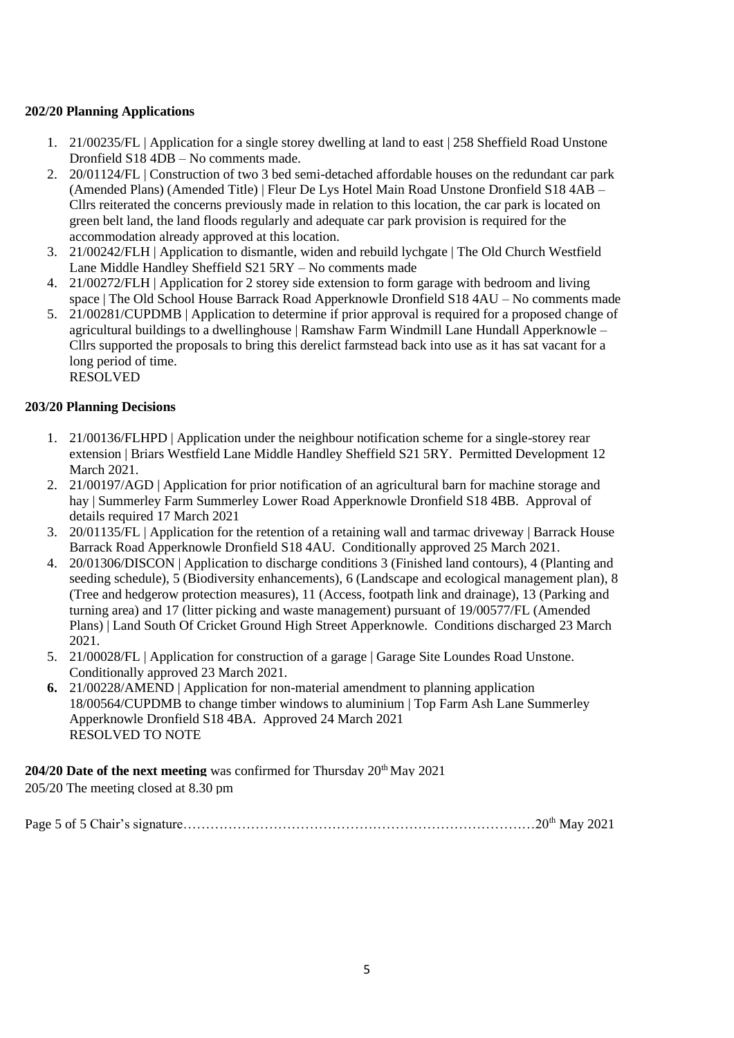# <span id="page-4-0"></span>**202/20 Planning Applications**

- 1. 21/00235/FL | Application for a single storey dwelling at land to east | 258 Sheffield Road Unstone Dronfield S18 4DB – No comments made.
- 2. 20/01124/FL | Construction of two 3 bed semi-detached affordable houses on the redundant car park (Amended Plans) (Amended Title) | Fleur De Lys Hotel Main Road Unstone Dronfield S18 4AB – Cllrs reiterated the concerns previously made in relation to this location, the car park is located on green belt land, the land floods regularly and adequate car park provision is required for the accommodation already approved at this location.
- 3. 21/00242/FLH | Application to dismantle, widen and rebuild lychgate | The Old Church Westfield Lane Middle Handley Sheffield S21 5RY – No comments made
- 4. 21/00272/FLH | Application for 2 storey side extension to form garage with bedroom and living space | The Old School House Barrack Road Apperknowle Dronfield S18 4AU – No comments made
- 5. 21/00281/CUPDMB | Application to determine if prior approval is required for a proposed change of agricultural buildings to a dwellinghouse | Ramshaw Farm Windmill Lane Hundall Apperknowle – Cllrs supported the proposals to bring this derelict farmstead back into use as it has sat vacant for a long period of time. RESOLVED

# <span id="page-4-1"></span>**203/20 Planning Decisions**

- 1. 21/00136/FLHPD | Application under the neighbour notification scheme for a single-storey rear extension | Briars Westfield Lane Middle Handley Sheffield S21 5RY. Permitted Development 12 March 2021.
- 2. 21/00197/AGD | Application for prior notification of an agricultural barn for machine storage and hay | Summerley Farm Summerley Lower Road Apperknowle Dronfield S18 4BB. Approval of details required 17 March 2021
- 3. 20/01135/FL | Application for the retention of a retaining wall and tarmac driveway | Barrack House Barrack Road Apperknowle Dronfield S18 4AU. Conditionally approved 25 March 2021.
- 4. 20/01306/DISCON | Application to discharge conditions 3 (Finished land contours), 4 (Planting and seeding schedule), 5 (Biodiversity enhancements), 6 (Landscape and ecological management plan), 8 (Tree and hedgerow protection measures), 11 (Access, footpath link and drainage), 13 (Parking and turning area) and 17 (litter picking and waste management) pursuant of 19/00577/FL (Amended Plans) | Land South Of Cricket Ground High Street Apperknowle. Conditions discharged 23 March 2021.
- 5. 21/00028/FL | Application for construction of a garage | Garage Site Loundes Road Unstone. Conditionally approved 23 March 2021.
- **6.** 21/00228/AMEND | Application for non-material amendment to planning application 18/00564/CUPDMB to change timber windows to aluminium | Top Farm Ash Lane Summerley Apperknowle Dronfield S18 4BA. Approved 24 March 2021 RESOLVED TO NOTE

<span id="page-4-2"></span>**204/20 Date of the next meeting** was confirmed for Thursday  $20^{\text{th}}$  May 2021 205/20 The meeting closed at 8.30 pm